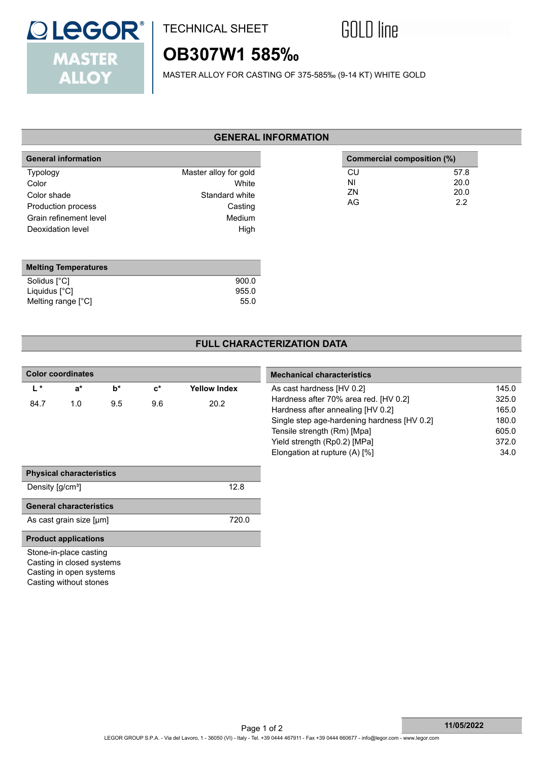

## TECHNICAL SHEET



# **OB307W1 585‰**

MASTER ALLOY FOR CASTING OF 375-585‰ (9-14 KT) WHITE GOLD

### **GENERAL INFORMATION**

| <b>General information</b>        |                                | Commercial composition (%) |              |
|-----------------------------------|--------------------------------|----------------------------|--------------|
| <b>Typology</b><br>Color          | Master alloy for gold<br>White | CU<br>NI                   | 57.8<br>20.0 |
| Color shade<br>Production process | Standard white<br>Casting      | ZN<br>AG                   | 20.0<br>2.2  |
| Grain refinement level            | Medium                         |                            |              |
| Deoxidation level                 | High                           |                            |              |
|                                   |                                |                            |              |

| <b>Melting Temperatures</b> |       |
|-----------------------------|-------|
| Solidus [°C]                | 900.0 |
| Liquidus $[^{\circ}C]$      | 955.0 |
| Melting range [°C]          | 55.0  |

### **FULL CHARACTERIZATION DATA**

| <b>Color coordinates</b> |                                 |                                   |                                       |                     | <b>Mechanical characteristics</b>           |       |  |
|--------------------------|---------------------------------|-----------------------------------|---------------------------------------|---------------------|---------------------------------------------|-------|--|
| $L^*$                    | $a^*$                           | $b^*$                             | $\mathbf{c}^*$                        | <b>Yellow Index</b> | As cast hardness [HV 0.2]                   | 145.0 |  |
| 1.0<br>9.5<br>84.7       | 9.6                             | 20.2                              | Hardness after 70% area red. [HV 0.2] | 325.0               |                                             |       |  |
|                          |                                 | Hardness after annealing [HV 0.2] | 165.0                                 |                     |                                             |       |  |
|                          |                                 |                                   |                                       |                     | Single step age-hardening hardness [HV 0.2] | 180.0 |  |
|                          |                                 |                                   |                                       |                     | Tensile strength (Rm) [Mpa]                 | 605.0 |  |
|                          |                                 |                                   |                                       |                     | Yield strength (Rp0.2) [MPa]                | 372.0 |  |
|                          |                                 |                                   |                                       |                     | Elongation at rupture (A) [%]               | 34.0  |  |
|                          | <b>Physical characteristics</b> |                                   |                                       |                     |                                             |       |  |
| Density $[g/cm^3]$       |                                 |                                   |                                       | 12.8                |                                             |       |  |
|                          | <b>General characteristics</b>  |                                   |                                       |                     |                                             |       |  |
|                          | As cast grain size [µm]         |                                   |                                       | 720.0               |                                             |       |  |
|                          | <b>Product applications</b>     |                                   |                                       |                     |                                             |       |  |
|                          | Stone-in-place casting          |                                   |                                       |                     |                                             |       |  |
|                          | Casting in closed systems       |                                   |                                       |                     |                                             |       |  |
|                          | Casting in open systems         |                                   |                                       |                     |                                             |       |  |
|                          | Casting without stones          |                                   |                                       |                     |                                             |       |  |
|                          |                                 |                                   |                                       |                     |                                             |       |  |